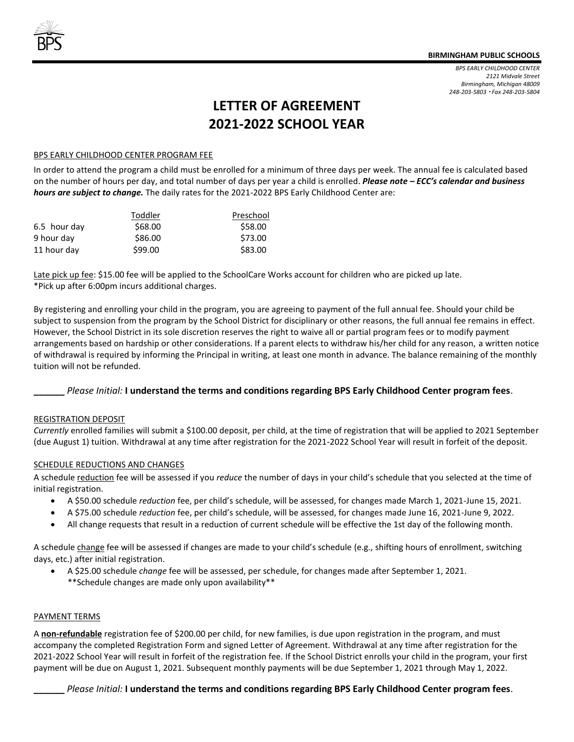*BPS EARLY CHILDHOOD CENTER 2121 Midvale Street Birmingham, Michigan 48009 248-203-5803 Fax 248-203-5804*

# **LETTER OF AGREEMENT 2021-2022 SCHOOL YEAR**

#### BPS EARLY CHILDHOOD CENTER PROGRAM FEE

In order to attend the program a child must be enrolled for a minimum of three days per week. The annual fee is calculated based on the number of hours per day, and total number of days per year a child is enrolled. *Please note – ECC's calendar and business hours are subject to change.* The daily rates for the 2021-2022 BPS Early Childhood Center are:

|              | Toddler | Preschool |
|--------------|---------|-----------|
| 6.5 hour day | \$68.00 | \$58.00   |
| 9 hour day   | \$86.00 | \$73.00   |
| 11 hour day  | \$99.00 | \$83.00   |

Late pick up fee: \$15.00 fee will be applied to the SchoolCare Works account for children who are picked up late. \*Pick up after 6:00pm incurs additional charges.

By registering and enrolling your child in the program, you are agreeing to payment of the full annual fee. Should your child be subject to suspension from the program by the School District for disciplinary or other reasons, the full annual fee remains in effect. However, the School District in its sole discretion reserves the right to waive all or partial program fees or to modify payment arrangements based on hardship or other considerations. If a parent elects to withdraw his/her child for any reason, a written notice of withdrawal is required by informing the Principal in writing, at least one month in advance. The balance remaining of the monthly tuition will not be refunded.

#### **\_\_\_\_\_\_** *Please Initial:* **I understand the terms and conditions regarding BPS Early Childhood Center program fees**.

#### REGISTRATION DEPOSIT

*Currently* enrolled families will submit a \$100.00 deposit, per child, at the time of registration that will be applied to 2021 September (due August 1) tuition. Withdrawal at any time after registration for the 2021-2022 School Year will result in forfeit of the deposit.

#### SCHEDULE REDUCTIONS AND CHANGES

A schedule reduction fee will be assessed if you *reduce* the number of days in your child's schedule that you selected at the time of initial registration.

- A \$50.00 schedule *reduction* fee, per child's schedule, will be assessed, for changes made March 1, 2021-June 15, 2021.
- A \$75.00 schedule *reduction* fee, per child's schedule, will be assessed, for changes made June 16, 2021-June 9, 2022.
- All change requests that result in a reduction of current schedule will be effective the 1st day of the following month.

A schedule change fee will be assessed if changes are made to your child's schedule (e.g., shifting hours of enrollment, switching days, etc.) after initial registration.

 A \$25.00 schedule *change* fee will be assessed, per schedule, for changes made after September 1, 2021. \*\*Schedule changes are made only upon availability\*\*

#### PAYMENT TERMS

A **non-refundable** registration fee of \$200.00 per child, for new families, is due upon registration in the program, and must accompany the completed Registration Form and signed Letter of Agreement. Withdrawal at any time after registration for the 2021-2022 School Year will result in forfeit of the registration fee. If the School District enrolls your child in the program, your first payment will be due on August 1, 2021. Subsequent monthly payments will be due September 1, 2021 through May 1, 2022.

**\_\_\_\_\_\_** *Please Initial:* **I understand the terms and conditions regarding BPS Early Childhood Center program fees**.